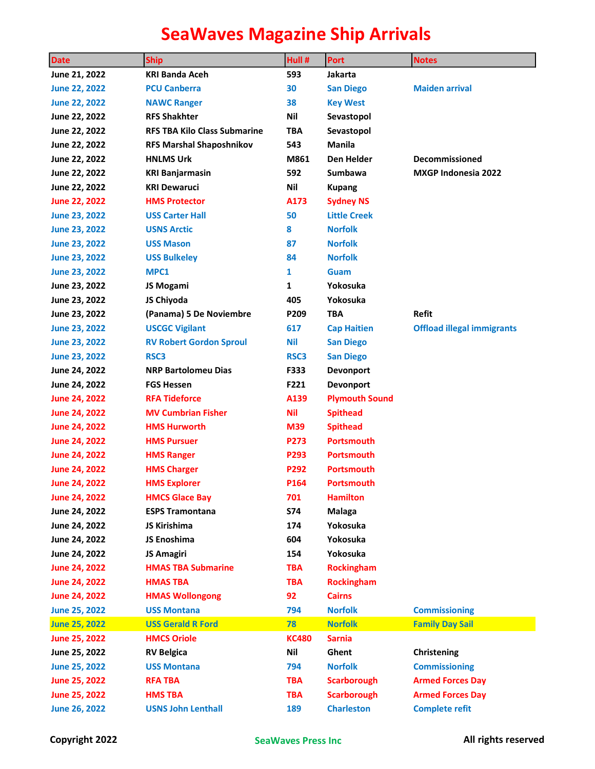| <b>Date</b>          | <b>Ship</b>                         | Hull #       | <b>Port</b>           | <b>Notes</b>                      |
|----------------------|-------------------------------------|--------------|-----------------------|-----------------------------------|
| June 21, 2022        | <b>KRI Banda Aceh</b>               | 593          | Jakarta               |                                   |
| <b>June 22, 2022</b> | <b>PCU Canberra</b>                 | 30           | <b>San Diego</b>      | <b>Maiden arrival</b>             |
| <b>June 22, 2022</b> | <b>NAWC Ranger</b>                  | 38           | <b>Key West</b>       |                                   |
| June 22, 2022        | <b>RFS Shakhter</b>                 | Nil          | Sevastopol            |                                   |
| June 22, 2022        | <b>RFS TBA Kilo Class Submarine</b> | TBA          | Sevastopol            |                                   |
| June 22, 2022        | <b>RFS Marshal Shaposhnikov</b>     | 543          | <b>Manila</b>         |                                   |
| June 22, 2022        | <b>HNLMS Urk</b>                    | M861         | <b>Den Helder</b>     | <b>Decommissioned</b>             |
| June 22, 2022        | <b>KRI Banjarmasin</b>              | 592          | <b>Sumbawa</b>        | <b>MXGP Indonesia 2022</b>        |
| June 22, 2022        | <b>KRI Dewaruci</b>                 | Nil          | <b>Kupang</b>         |                                   |
| <b>June 22, 2022</b> | <b>HMS Protector</b>                | A173         | <b>Sydney NS</b>      |                                   |
| <b>June 23, 2022</b> | <b>USS Carter Hall</b>              | 50           | <b>Little Creek</b>   |                                   |
| <b>June 23, 2022</b> | <b>USNS Arctic</b>                  | 8            | <b>Norfolk</b>        |                                   |
| <b>June 23, 2022</b> | <b>USS Mason</b>                    | 87           | <b>Norfolk</b>        |                                   |
| <b>June 23, 2022</b> | <b>USS Bulkeley</b>                 | 84           | <b>Norfolk</b>        |                                   |
| June 23, 2022        | MPC1                                | 1            | Guam                  |                                   |
| June 23, 2022        | JS Mogami                           | 1            | Yokosuka              |                                   |
| June 23, 2022        | JS Chiyoda                          | 405          | Yokosuka              |                                   |
| June 23, 2022        | (Panama) 5 De Noviembre             | P209         | TBA                   | <b>Refit</b>                      |
| <b>June 23, 2022</b> | <b>USCGC Vigilant</b>               | 617          | <b>Cap Haitien</b>    | <b>Offload illegal immigrants</b> |
| <b>June 23, 2022</b> | <b>RV Robert Gordon Sproul</b>      | <b>Nil</b>   | <b>San Diego</b>      |                                   |
| <b>June 23, 2022</b> | RSC3                                | RSC3         | <b>San Diego</b>      |                                   |
| June 24, 2022        | <b>NRP Bartolomeu Dias</b>          | F333         | <b>Devonport</b>      |                                   |
| June 24, 2022        | <b>FGS Hessen</b>                   | F221         | <b>Devonport</b>      |                                   |
| <b>June 24, 2022</b> | <b>RFA Tideforce</b>                | A139         | <b>Plymouth Sound</b> |                                   |
| <b>June 24, 2022</b> | <b>MV Cumbrian Fisher</b>           | <b>Nil</b>   | <b>Spithead</b>       |                                   |
| <b>June 24, 2022</b> | <b>HMS Hurworth</b>                 | M39          | <b>Spithead</b>       |                                   |
| <b>June 24, 2022</b> | <b>HMS Pursuer</b>                  | P273         | <b>Portsmouth</b>     |                                   |
| <b>June 24, 2022</b> | <b>HMS Ranger</b>                   | P293         | Portsmouth            |                                   |
| <b>June 24, 2022</b> | <b>HMS Charger</b>                  | P292         | <b>Portsmouth</b>     |                                   |
| <b>June 24, 2022</b> | <b>HMS Explorer</b>                 | P164         | Portsmouth            |                                   |
| <b>June 24, 2022</b> | <b>HMCS Glace Bay</b>               | 701          | <b>Hamilton</b>       |                                   |
| June 24, 2022        | <b>ESPS Tramontana</b>              | <b>S74</b>   | Malaga                |                                   |
| June 24, 2022        | JS Kirishima                        | 174          | Yokosuka              |                                   |
| June 24, 2022        | JS Enoshima                         | 604          | Yokosuka              |                                   |
| June 24, 2022        | <b>JS Amagiri</b>                   | 154          | Yokosuka              |                                   |
| <b>June 24, 2022</b> | <b>HMAS TBA Submarine</b>           | <b>TBA</b>   | <b>Rockingham</b>     |                                   |
| <b>June 24, 2022</b> | <b>HMAS TBA</b>                     | <b>TBA</b>   | <b>Rockingham</b>     |                                   |
| <b>June 24, 2022</b> | <b>HMAS Wollongong</b>              | 92           | <b>Cairns</b>         |                                   |
| <b>June 25, 2022</b> | <b>USS Montana</b>                  | 794          | <b>Norfolk</b>        | <b>Commissioning</b>              |
| <b>June 25, 2022</b> | <b>USS Gerald R Ford</b>            | 78           | <b>Norfolk</b>        | <b>Family Day Sail</b>            |
| <b>June 25, 2022</b> | <b>HMCS Oriole</b>                  | <b>KC480</b> | <b>Sarnia</b>         |                                   |
| June 25, 2022        | <b>RV Belgica</b>                   | Nil          | Ghent                 | Christening                       |
| <b>June 25, 2022</b> | <b>USS Montana</b>                  | 794          | <b>Norfolk</b>        | <b>Commissioning</b>              |
| June 25, 2022        | <b>RFA TBA</b>                      | <b>TBA</b>   | <b>Scarborough</b>    | <b>Armed Forces Day</b>           |
| <b>June 25, 2022</b> | <b>HMS TBA</b>                      | <b>TBA</b>   | <b>Scarborough</b>    | <b>Armed Forces Day</b>           |
| <b>June 26, 2022</b> | <b>USNS John Lenthall</b>           | 189          | <b>Charleston</b>     | <b>Complete refit</b>             |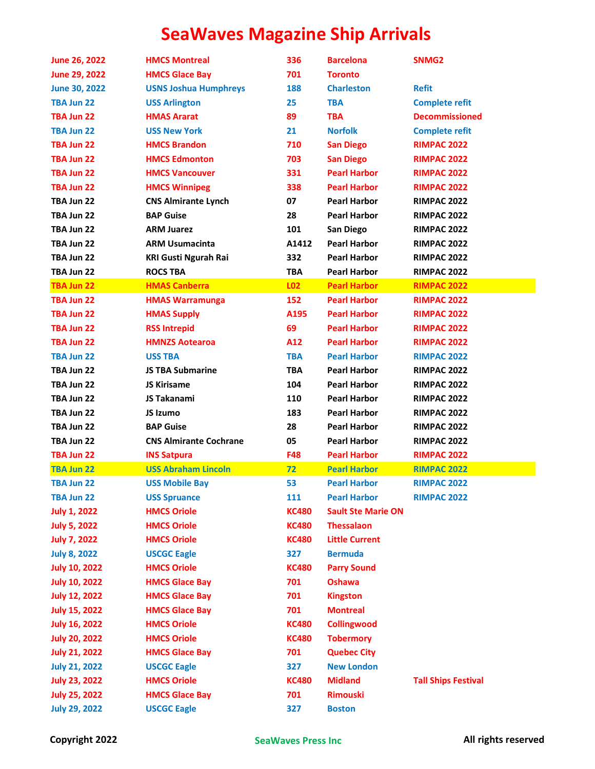| June 26, 2022        | <b>HMCS Montreal</b>          | 336          | <b>Barcelona</b>          | SNMG <sub>2</sub>          |
|----------------------|-------------------------------|--------------|---------------------------|----------------------------|
| June 29, 2022        | <b>HMCS Glace Bay</b>         | 701          | <b>Toronto</b>            |                            |
| <b>June 30, 2022</b> | <b>USNS Joshua Humphreys</b>  | 188          | <b>Charleston</b>         | <b>Refit</b>               |
| TBA Jun 22           | <b>USS Arlington</b>          | 25           | <b>TBA</b>                | <b>Complete refit</b>      |
| TBA Jun 22           | <b>HMAS Ararat</b>            | 89           | <b>TBA</b>                | <b>Decommissioned</b>      |
| TBA Jun 22           | <b>USS New York</b>           | 21           | <b>Norfolk</b>            | <b>Complete refit</b>      |
| TBA Jun 22           | <b>HMCS Brandon</b>           | 710          | <b>San Diego</b>          | <b>RIMPAC 2022</b>         |
| TBA Jun 22           | <b>HMCS Edmonton</b>          | 703          | <b>San Diego</b>          | <b>RIMPAC 2022</b>         |
| TBA Jun 22           | <b>HMCS Vancouver</b>         | 331          | <b>Pearl Harbor</b>       | <b>RIMPAC 2022</b>         |
| TBA Jun 22           | <b>HMCS Winnipeg</b>          | 338          | <b>Pearl Harbor</b>       | <b>RIMPAC 2022</b>         |
| TBA Jun 22           | <b>CNS Almirante Lynch</b>    | 07           | <b>Pearl Harbor</b>       | <b>RIMPAC 2022</b>         |
| TBA Jun 22           | <b>BAP Guise</b>              | 28           | <b>Pearl Harbor</b>       | <b>RIMPAC 2022</b>         |
| TBA Jun 22           | <b>ARM Juarez</b>             | 101          | San Diego                 | <b>RIMPAC 2022</b>         |
| TBA Jun 22           | <b>ARM Usumacinta</b>         | A1412        | <b>Pearl Harbor</b>       | <b>RIMPAC 2022</b>         |
| TBA Jun 22           | <b>KRI Gusti Ngurah Rai</b>   | 332          | <b>Pearl Harbor</b>       | <b>RIMPAC 2022</b>         |
| TBA Jun 22           | <b>ROCS TBA</b>               | <b>TBA</b>   | <b>Pearl Harbor</b>       | <b>RIMPAC 2022</b>         |
| TBA Jun 22           | <b>HMAS Canberra</b>          | L02          | <b>Pearl Harbor</b>       | <b>RIMPAC 2022</b>         |
| TBA Jun 22           | <b>HMAS Warramunga</b>        | 152          | <b>Pearl Harbor</b>       | <b>RIMPAC 2022</b>         |
| TBA Jun 22           | <b>HMAS Supply</b>            | A195         | <b>Pearl Harbor</b>       | <b>RIMPAC 2022</b>         |
| TBA Jun 22           | <b>RSS Intrepid</b>           | 69           | <b>Pearl Harbor</b>       | <b>RIMPAC 2022</b>         |
| TBA Jun 22           | <b>HMNZS Aotearoa</b>         | A12          | <b>Pearl Harbor</b>       | <b>RIMPAC 2022</b>         |
| TBA Jun 22           | <b>USS TBA</b>                | <b>TBA</b>   | <b>Pearl Harbor</b>       | <b>RIMPAC 2022</b>         |
| TBA Jun 22           | <b>JS TBA Submarine</b>       | <b>TBA</b>   | <b>Pearl Harbor</b>       | <b>RIMPAC 2022</b>         |
| TBA Jun 22           | JS Kirisame                   | 104          | <b>Pearl Harbor</b>       | <b>RIMPAC 2022</b>         |
| TBA Jun 22           | JS Takanami                   | 110          | <b>Pearl Harbor</b>       | <b>RIMPAC 2022</b>         |
| TBA Jun 22           | JS Izumo                      | 183          | <b>Pearl Harbor</b>       | <b>RIMPAC 2022</b>         |
| TBA Jun 22           | <b>BAP Guise</b>              | 28           | <b>Pearl Harbor</b>       | <b>RIMPAC 2022</b>         |
| TBA Jun 22           | <b>CNS Almirante Cochrane</b> | 05           | <b>Pearl Harbor</b>       | <b>RIMPAC 2022</b>         |
| TBA Jun 22           | <b>INS Satpura</b>            | <b>F48</b>   | <b>Pearl Harbor</b>       | <b>RIMPAC 2022</b>         |
| <b>TBA Jun 22</b>    | <b>USS Abraham Lincoln</b>    | 72           | <b>Pearl Harbor</b>       | <b>RIMPAC 2022</b>         |
| TBA Jun 22           | <b>USS Mobile Bay</b>         | 53           | <b>Pearl Harbor</b>       | <b>RIMPAC 2022</b>         |
| TBA Jun 22           | <b>USS Spruance</b>           | 111          | <b>Pearl Harbor</b>       | <b>RIMPAC 2022</b>         |
| <b>July 1, 2022</b>  | <b>HMCS Oriole</b>            | <b>KC480</b> | <b>Sault Ste Marie ON</b> |                            |
| <b>July 5, 2022</b>  | <b>HMCS Oriole</b>            | <b>KC480</b> | <b>Thessalaon</b>         |                            |
| <b>July 7, 2022</b>  | <b>HMCS Oriole</b>            | <b>KC480</b> | <b>Little Current</b>     |                            |
| <b>July 8, 2022</b>  | <b>USCGC Eagle</b>            | 327          | <b>Bermuda</b>            |                            |
| <b>July 10, 2022</b> | <b>HMCS Oriole</b>            | <b>KC480</b> | <b>Parry Sound</b>        |                            |
| <b>July 10, 2022</b> | <b>HMCS Glace Bay</b>         | 701          | <b>Oshawa</b>             |                            |
| <b>July 12, 2022</b> | <b>HMCS Glace Bay</b>         | 701          | <b>Kingston</b>           |                            |
| <b>July 15, 2022</b> | <b>HMCS Glace Bay</b>         | 701          | <b>Montreal</b>           |                            |
| <b>July 16, 2022</b> | <b>HMCS Oriole</b>            | <b>KC480</b> | <b>Collingwood</b>        |                            |
| <b>July 20, 2022</b> | <b>HMCS Oriole</b>            | <b>KC480</b> | <b>Tobermory</b>          |                            |
| <b>July 21, 2022</b> | <b>HMCS Glace Bay</b>         | 701          | <b>Quebec City</b>        |                            |
| <b>July 21, 2022</b> | <b>USCGC Eagle</b>            | 327          | <b>New London</b>         |                            |
| <b>July 23, 2022</b> | <b>HMCS Oriole</b>            | <b>KC480</b> | <b>Midland</b>            | <b>Tall Ships Festival</b> |
| <b>July 25, 2022</b> | <b>HMCS Glace Bay</b>         | 701          | <b>Rimouski</b>           |                            |
| <b>July 29, 2022</b> | <b>USCGC Eagle</b>            | 327          | <b>Boston</b>             |                            |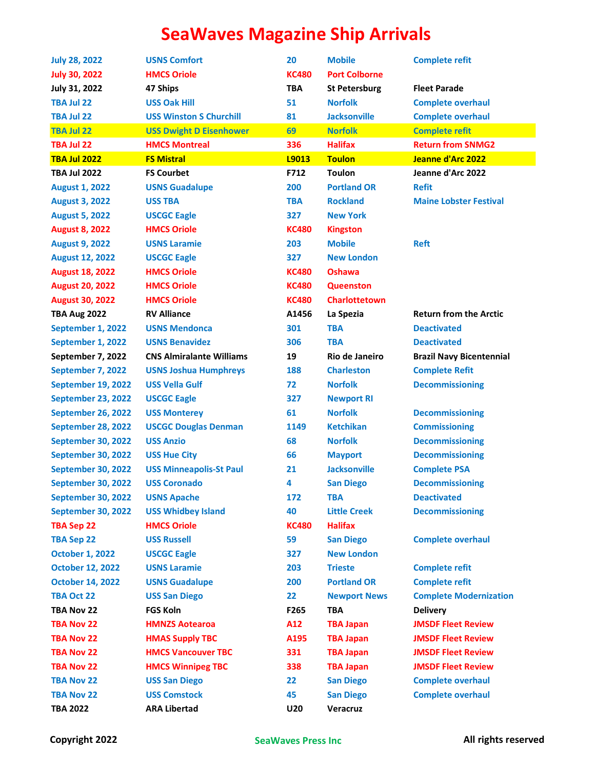| <b>July 28, 2022</b>    | <b>USNS Comfort</b>             | 20           | <b>Mobile</b>        | <b>Complete refit</b>           |
|-------------------------|---------------------------------|--------------|----------------------|---------------------------------|
| <b>July 30, 2022</b>    | <b>HMCS Oriole</b>              | <b>KC480</b> | <b>Port Colborne</b> |                                 |
| July 31, 2022           | 47 Ships                        | <b>TBA</b>   | <b>St Petersburg</b> | <b>Fleet Parade</b>             |
| <b>TBA Jul 22</b>       | <b>USS Oak Hill</b>             | 51           | <b>Norfolk</b>       | <b>Complete overhaul</b>        |
| TBA Jul 22              | <b>USS Winston S Churchill</b>  | 81           | <b>Jacksonville</b>  | <b>Complete overhaul</b>        |
| <b>TBA Jul 22</b>       | <b>USS Dwight D Eisenhower</b>  | 69           | <b>Norfolk</b>       | <b>Complete refit</b>           |
| TBA Jul 22              | <b>HMCS Montreal</b>            | 336          | <b>Halifax</b>       | <b>Return from SNMG2</b>        |
| <b>TBA Jul 2022</b>     | <b>FS Mistral</b>               | L9013        | <b>Toulon</b>        | Jeanne d'Arc 2022               |
| <b>TBA Jul 2022</b>     | <b>FS Courbet</b>               | F712         | <b>Toulon</b>        | Jeanne d'Arc 2022               |
| <b>August 1, 2022</b>   | <b>USNS Guadalupe</b>           | 200          | <b>Portland OR</b>   | <b>Refit</b>                    |
| <b>August 3, 2022</b>   | <b>USS TBA</b>                  | <b>TBA</b>   | <b>Rockland</b>      | <b>Maine Lobster Festival</b>   |
| <b>August 5, 2022</b>   | <b>USCGC Eagle</b>              | 327          | <b>New York</b>      |                                 |
| <b>August 8, 2022</b>   | <b>HMCS Oriole</b>              | <b>KC480</b> | <b>Kingston</b>      |                                 |
| <b>August 9, 2022</b>   | <b>USNS Laramie</b>             | 203          | <b>Mobile</b>        | <b>Reft</b>                     |
| <b>August 12, 2022</b>  | <b>USCGC Eagle</b>              | 327          | <b>New London</b>    |                                 |
| <b>August 18, 2022</b>  | <b>HMCS Oriole</b>              | <b>KC480</b> | <b>Oshawa</b>        |                                 |
| <b>August 20, 2022</b>  | <b>HMCS Oriole</b>              | <b>KC480</b> | <b>Queenston</b>     |                                 |
| <b>August 30, 2022</b>  | <b>HMCS Oriole</b>              | <b>KC480</b> | <b>Charlottetown</b> |                                 |
| <b>TBA Aug 2022</b>     | <b>RV Alliance</b>              | A1456        | La Spezia            | <b>Return from the Arctic</b>   |
| September 1, 2022       | <b>USNS Mendonca</b>            | 301          | <b>TBA</b>           | <b>Deactivated</b>              |
| September 1, 2022       | <b>USNS Benavidez</b>           | 306          | <b>TBA</b>           | <b>Deactivated</b>              |
| September 7, 2022       | <b>CNS Almiralante Williams</b> | 19           | Rio de Janeiro       | <b>Brazil Navy Bicentennial</b> |
| September 7, 2022       | <b>USNS Joshua Humphreys</b>    | 188          | <b>Charleston</b>    | <b>Complete Refit</b>           |
| September 19, 2022      | <b>USS Vella Gulf</b>           | 72           | <b>Norfolk</b>       | <b>Decommissioning</b>          |
| September 23, 2022      | <b>USCGC Eagle</b>              | 327          | <b>Newport RI</b>    |                                 |
| September 26, 2022      | <b>USS Monterey</b>             | 61           | <b>Norfolk</b>       | <b>Decommissioning</b>          |
| September 28, 2022      | <b>USCGC Douglas Denman</b>     | 1149         | <b>Ketchikan</b>     | <b>Commissioning</b>            |
| September 30, 2022      | <b>USS Anzio</b>                | 68           | <b>Norfolk</b>       | <b>Decommissioning</b>          |
| September 30, 2022      | <b>USS Hue City</b>             | 66           | <b>Mayport</b>       | <b>Decommissioning</b>          |
| September 30, 2022      | <b>USS Minneapolis-St Paul</b>  | 21           | <b>Jacksonville</b>  | <b>Complete PSA</b>             |
| September 30, 2022      | <b>USS Coronado</b>             | 4            | <b>San Diego</b>     | <b>Decommissioning</b>          |
| September 30, 2022      | <b>USNS Apache</b>              | 172          | <b>TBA</b>           | <b>Deactivated</b>              |
| September 30, 2022      | <b>USS Whidbey Island</b>       | 40           | <b>Little Creek</b>  | <b>Decommissioning</b>          |
| <b>TBA Sep 22</b>       | <b>HMCS Oriole</b>              | <b>KC480</b> | <b>Halifax</b>       |                                 |
| <b>TBA Sep 22</b>       | <b>USS Russell</b>              | 59           | <b>San Diego</b>     | <b>Complete overhaul</b>        |
| <b>October 1, 2022</b>  | <b>USCGC Eagle</b>              | 327          | <b>New London</b>    |                                 |
| <b>October 12, 2022</b> | <b>USNS Laramie</b>             | 203          | <b>Trieste</b>       | <b>Complete refit</b>           |
| <b>October 14, 2022</b> | <b>USNS Guadalupe</b>           | 200          | <b>Portland OR</b>   | <b>Complete refit</b>           |
| <b>TBA Oct 22</b>       | <b>USS San Diego</b>            | 22           | <b>Newport News</b>  | <b>Complete Modernization</b>   |
| TBA Nov 22              | <b>FGS Koln</b>                 | F265         | <b>TBA</b>           | <b>Delivery</b>                 |
| <b>TBA Nov 22</b>       | <b>HMNZS Aotearoa</b>           | A12          | <b>TBA Japan</b>     | <b>JMSDF Fleet Review</b>       |
| <b>TBA Nov 22</b>       | <b>HMAS Supply TBC</b>          | A195         | <b>TBA Japan</b>     | <b>JMSDF Fleet Review</b>       |
| <b>TBA Nov 22</b>       | <b>HMCS Vancouver TBC</b>       | 331          | <b>TBA Japan</b>     | <b>JMSDF Fleet Review</b>       |
| <b>TBA Nov 22</b>       | <b>HMCS Winnipeg TBC</b>        | 338          | <b>TBA Japan</b>     | <b>JMSDF Fleet Review</b>       |
| <b>TBA Nov 22</b>       | <b>USS San Diego</b>            | 22           | <b>San Diego</b>     | <b>Complete overhaul</b>        |
| <b>TBA Nov 22</b>       | <b>USS Comstock</b>             | 45           | <b>San Diego</b>     | <b>Complete overhaul</b>        |
| <b>TBA 2022</b>         | <b>ARA Libertad</b>             | <b>U20</b>   | Veracruz             |                                 |